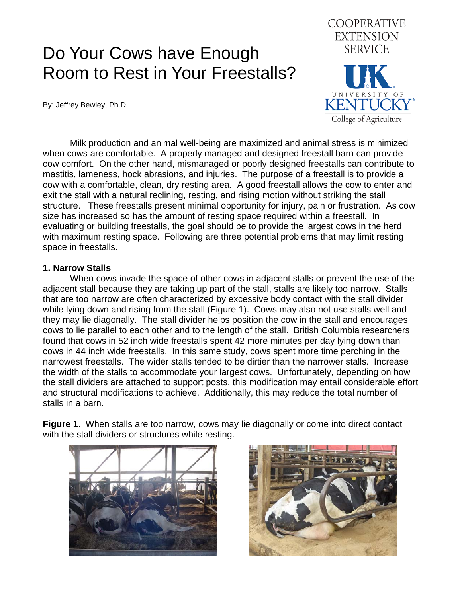# Do Your Cows have Enough Room to Rest in Your Freestalls?

By: Jeffrey Bewley, Ph.D.



 Milk production and animal well-being are maximized and animal stress is minimized when cows are comfortable. A properly managed and designed freestall barn can provide cow comfort. On the other hand, mismanaged or poorly designed freestalls can contribute to mastitis, lameness, hock abrasions, and injuries. The purpose of a freestall is to provide a cow with a comfortable, clean, dry resting area. A good freestall allows the cow to enter and exit the stall with a natural reclining, resting, and rising motion without striking the stall structure. These freestalls present minimal opportunity for injury, pain or frustration. As cow size has increased so has the amount of resting space required within a freestall. In evaluating or building freestalls, the goal should be to provide the largest cows in the herd with maximum resting space. Following are three potential problems that may limit resting space in freestalls.

#### **1. Narrow Stalls**

 When cows invade the space of other cows in adjacent stalls or prevent the use of the adjacent stall because they are taking up part of the stall, stalls are likely too narrow. Stalls that are too narrow are often characterized by excessive body contact with the stall divider while lying down and rising from the stall (Figure 1). Cows may also not use stalls well and they may lie diagonally. The stall divider helps position the cow in the stall and encourages cows to lie parallel to each other and to the length of the stall. British Columbia researchers found that cows in 52 inch wide freestalls spent 42 more minutes per day lying down than cows in 44 inch wide freestalls. In this same study, cows spent more time perching in the narrowest freestalls. The wider stalls tended to be dirtier than the narrower stalls. Increase the width of the stalls to accommodate your largest cows. Unfortunately, depending on how the stall dividers are attached to support posts, this modification may entail considerable effort and structural modifications to achieve. Additionally, this may reduce the total number of stalls in a barn.

**Figure 1**. When stalls are too narrow, cows may lie diagonally or come into direct contact with the stall dividers or structures while resting.



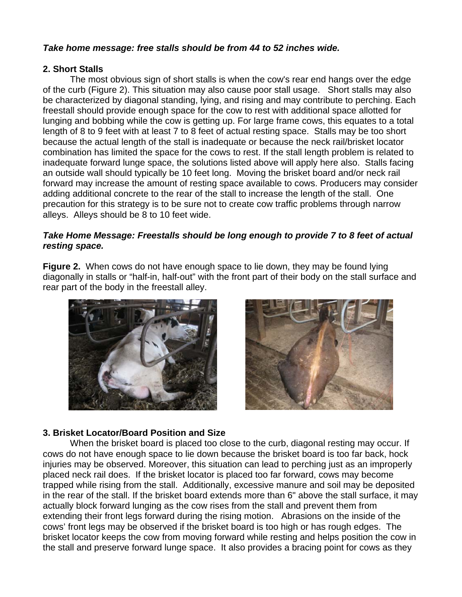## *Take home message: free stalls should be from 44 to 52 inches wide.*

#### **2. Short Stalls**

 The most obvious sign of short stalls is when the cow's rear end hangs over the edge of the curb (Figure 2). This situation may also cause poor stall usage. Short stalls may also be characterized by diagonal standing, lying, and rising and may contribute to perching. Each freestall should provide enough space for the cow to rest with additional space allotted for lunging and bobbing while the cow is getting up. For large frame cows, this equates to a total length of 8 to 9 feet with at least 7 to 8 feet of actual resting space. Stalls may be too short because the actual length of the stall is inadequate or because the neck rail/brisket locator combination has limited the space for the cows to rest. If the stall length problem is related to inadequate forward lunge space, the solutions listed above will apply here also. Stalls facing an outside wall should typically be 10 feet long. Moving the brisket board and/or neck rail forward may increase the amount of resting space available to cows. Producers may consider adding additional concrete to the rear of the stall to increase the length of the stall. One precaution for this strategy is to be sure not to create cow traffic problems through narrow alleys. Alleys should be 8 to 10 feet wide.

### *Take Home Message: Freestalls should be long enough to provide 7 to 8 feet of actual resting space.*

**Figure 2.** When cows do not have enough space to lie down, they may be found lying diagonally in stalls or "half-in, half-out" with the front part of their body on the stall surface and rear part of the body in the freestall alley.





#### **3. Brisket Locator/Board Position and Size**

 When the brisket board is placed too close to the curb, diagonal resting may occur. If cows do not have enough space to lie down because the brisket board is too far back, hock injuries may be observed. Moreover, this situation can lead to perching just as an improperly placed neck rail does. If the brisket locator is placed too far forward, cows may become trapped while rising from the stall. Additionally, excessive manure and soil may be deposited in the rear of the stall. If the brisket board extends more than 6" above the stall surface, it may actually block forward lunging as the cow rises from the stall and prevent them from extending their front legs forward during the rising motion. Abrasions on the inside of the cows' front legs may be observed if the brisket board is too high or has rough edges. The brisket locator keeps the cow from moving forward while resting and helps position the cow in the stall and preserve forward lunge space. It also provides a bracing point for cows as they